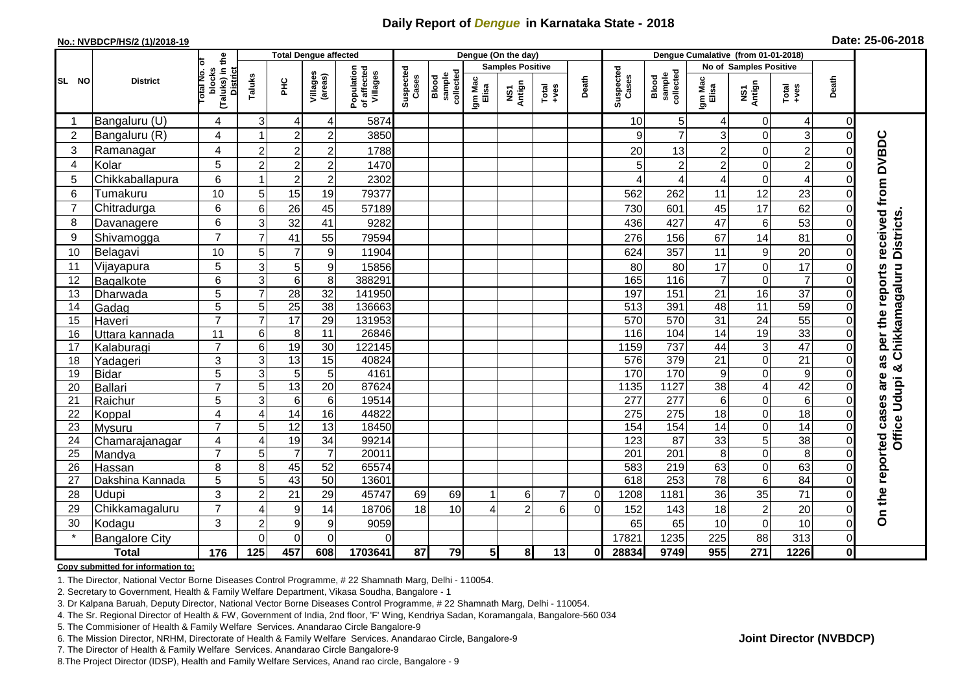## **Daily Report of** *Dengue* **in Karnataka State - 2018**

#### **No.: NVBDCP/HS/2 (1)/2018-19**

| Date: 25-06-2018 |  |  |
|------------------|--|--|
|------------------|--|--|

|                | <b>District</b>            |                                          |                           | <b>Total Dengue affected</b> |                      |                                       |                    |                              |                  | Dengue (On the day)     |                                                                        |          |                    |                              |                         |                        |                   |              |                                   |
|----------------|----------------------------|------------------------------------------|---------------------------|------------------------------|----------------------|---------------------------------------|--------------------|------------------------------|------------------|-------------------------|------------------------------------------------------------------------|----------|--------------------|------------------------------|-------------------------|------------------------|-------------------|--------------|-----------------------------------|
|                |                            |                                          |                           |                              |                      |                                       |                    |                              |                  | <b>Samples Positive</b> |                                                                        |          |                    |                              |                         | No of Samples Positive |                   |              |                                   |
| SL NO          |                            | (Taluks) in the<br>otal No. of<br>blocks | Taluks                    | нc                           | Villages<br>(areas)  | Population<br>of affected<br>Villages | Suspected<br>Cases | sample<br>collected<br>Blood | Igm Mac<br>Elisa | NS1<br>Antign           | $\begin{array}{c}\n\text{Total} \\ \text{1}-\text{total}\n\end{array}$ | Death    | Suspected<br>Cases | collected<br>sample<br>Blood | Igm Mac<br>Elisa        | NS1<br>Antign          | Total<br>$+ve$ es | Death        |                                   |
| -1             | Bangaluru (U)              | 4                                        | 3                         | $\overline{4}$               | 4                    | 5874                                  |                    |                              |                  |                         |                                                                        |          | 10                 | $\overline{5}$               | 4                       | $\overline{0}$         | 4                 | $\mathbf 0$  |                                   |
| $\overline{2}$ | Bangaluru (R)              | $\overline{4}$                           |                           | $\overline{2}$               | $\overline{c}$       | 3850                                  |                    |                              |                  |                         |                                                                        |          | 9                  | $\overline{7}$               | 3                       | $\overline{0}$         | 3                 | $\Omega$     |                                   |
| 3              | Ramanagar                  | $\overline{4}$                           | $\overline{2}$            | $\overline{2}$               | $\overline{2}$       | 1788                                  |                    |                              |                  |                         |                                                                        |          | 20                 | 13                           | $\overline{c}$          | $\mathbf 0$            | $\overline{c}$    |              | received from DVBDC               |
| 4              | Kolar                      | 5                                        | $\overline{2}$            | $\overline{c}$               | $\overline{c}$       | 1470                                  |                    |                              |                  |                         |                                                                        |          |                    | $\boldsymbol{2}$             | $\overline{\mathbf{c}}$ | $\overline{0}$         | $\overline{2}$    |              |                                   |
| 5              | Chikkaballapura            | 6                                        | -1                        | $\overline{2}$               | $\overline{c}$       | 2302                                  |                    |                              |                  |                         |                                                                        |          |                    | 4                            | 4                       | $\overline{0}$         | $\overline{4}$    |              |                                   |
| 6              | Tumakuru                   | 10                                       | 5                         | 15                           | 19                   | 79377                                 |                    |                              |                  |                         |                                                                        |          | 562                | 262                          | 11                      | 12                     | 23                |              |                                   |
| $\overline{7}$ | Chitradurga                | 6                                        | 6                         | 26                           | 45                   | 57189                                 |                    |                              |                  |                         |                                                                        |          | 730                | 601                          | 45                      | 17                     | 62                |              |                                   |
| 8              | Davanagere                 | 6                                        | 3                         | 32                           | 41                   | 9282                                  |                    |                              |                  |                         |                                                                        |          | 436                | 427                          | 47                      | $\,6\,$                | 53                |              |                                   |
| 9              | Shivamogga                 | $\overline{7}$                           | $\overline{7}$            | 41                           | 55                   | 79594                                 |                    |                              |                  |                         |                                                                        |          | 276                | 156                          | 67                      | 14                     | 81                |              | <b>Districts</b>                  |
| 10             | Belagavi                   | 10                                       | 5                         | $\overline{7}$               | $\boldsymbol{9}$     | 11904                                 |                    |                              |                  |                         |                                                                        |          | 624                | 357                          | 11                      | $\boldsymbol{9}$       | 20                |              |                                   |
| 11             | Vijayapura                 | 5                                        | $\mathsf 3$               | 5                            | 9                    | 15856                                 |                    |                              |                  |                         |                                                                        |          | 80                 | 80                           | 17                      | $\mathbf 0$            | 17                |              |                                   |
| 12             | Bagalkote                  | 6                                        | $\overline{3}$            | $\overline{6}$               | $\overline{8}$       | 388291                                |                    |                              |                  |                         |                                                                        |          | 165                | $\frac{116}{116}$            | $\overline{7}$          | 0                      | $\overline{7}$    |              | Chikkamagaluru<br>per the reports |
| 13             | Dharwada                   | 5                                        | $\overline{7}$            | $\overline{28}$              | $\overline{32}$      | 141950                                |                    |                              |                  |                         |                                                                        |          | 197                | 151                          | 21                      | 16                     | $\overline{37}$   |              |                                   |
| 14             | Gadag                      | 5                                        | 5                         | $\overline{25}$              | 38                   | 136663                                |                    |                              |                  |                         |                                                                        |          | 513                | 391                          | 48                      | 11                     | $\overline{59}$   |              |                                   |
| 15             | Haveri                     | $\overline{7}$                           | $\overline{7}$            | $\overline{17}$              | 29                   | 131953                                |                    |                              |                  |                         |                                                                        |          | 570                | 570                          | 31                      | $\overline{24}$        | 55                |              |                                   |
| 16             | Uttara kannada             | 11                                       | $\,6$                     | 8                            | 11                   | 26846                                 |                    |                              |                  |                         |                                                                        |          | 116                | 104                          | 14                      | 19                     | 33                |              |                                   |
| 17             | Kalaburagi                 | $\overline{7}$                           | $\,6$                     | 19                           | $\overline{30}$      | 122145                                |                    |                              |                  |                         |                                                                        |          | 1159               | 737                          | 44                      | ω                      | 47                |              |                                   |
| 18             | Yadageri                   | 3                                        | $\ensuremath{\mathsf{3}}$ | 13                           | 15                   | 40824                                 |                    |                              |                  |                         |                                                                        |          | 576                | 379                          | 21                      | $\overline{0}$         | 21                |              | as                                |
| 19             | <b>Bidar</b>               | 5                                        | 3                         | 5                            | 5                    | 4161                                  |                    |                              |                  |                         |                                                                        |          | 170                | 170                          | 9                       | $\overline{0}$         | $\boldsymbol{9}$  |              | are                               |
| 20             | <b>Ballari</b>             | $\overline{7}$                           | 5                         | 13                           | $\overline{20}$      | 87624                                 |                    |                              |                  |                         |                                                                        |          | 1135               | 1127                         | $\overline{38}$         | 4                      | 42                |              |                                   |
| 21             | Raichur                    | 5                                        | 3                         | $\,6$                        | $\,6\,$              | 19514                                 |                    |                              |                  |                         |                                                                        |          | 277                | 277                          | 6                       | $\overline{0}$         | $6\phantom{1}6$   |              |                                   |
| 22             | Koppal                     | 4                                        | 4                         | 14                           | 16                   | 44822                                 |                    |                              |                  |                         |                                                                        |          | 275                | 275                          | 18                      | $\overline{0}$         | 18                |              | Office Udupi &                    |
| 23             | Mysuru                     | $\overline{7}$                           | 5                         | 12                           | 13                   | 18450                                 |                    |                              |                  |                         |                                                                        |          | 154                | 154                          | 14                      | $\overline{0}$         | $\overline{14}$   |              |                                   |
| 24             | Chamarajanagar             | 4<br>$\overline{7}$                      | 4                         | 19<br>$\overline{7}$         | 34<br>$\overline{7}$ | 99214                                 |                    |                              |                  |                         |                                                                        |          | 123                | $\overline{87}$              | 33                      | 5<br>$\mathbf 0$       | 38                |              |                                   |
| 25<br>26       | Mandya                     | 8                                        | 5<br>8                    | 45                           | 52                   | 20011<br>65574                        |                    |                              |                  |                         |                                                                        |          | 201<br>583         | $\overline{201}$<br>219      | $\bf 8$<br>63           | $\overline{0}$         | 8<br>63           |              |                                   |
| 27             | Hassan<br>Dakshina Kannada | 5                                        | $\overline{5}$            | 43                           | 50                   | 13601                                 |                    |                              |                  |                         |                                                                        |          | 618                | 253                          | 78                      | 6                      | 84                |              |                                   |
| 28             | Udupi                      | 3                                        | $\overline{2}$            | 21                           | 29                   | 45747                                 | 69                 | 69                           |                  | 6                       | $\overline{7}$                                                         | $\Omega$ | 1208               | 1181                         | 36                      | 35                     | 71                |              |                                   |
| 29             | Chikkamagaluru             | $\overline{7}$                           | 4                         | 9                            | 14                   | 18706                                 | 18                 | 10                           |                  | $\overline{2}$          | 6                                                                      | $\Omega$ | 152                | 143                          | 18                      | $\overline{2}$         | 20                |              |                                   |
| 30             | Kodagu                     | 3                                        | $\overline{2}$            | $\boldsymbol{9}$             | $\boldsymbol{9}$     | 9059                                  |                    |                              |                  |                         |                                                                        |          | 65                 | 65                           | 10                      | $\overline{0}$         | 10                |              | On the reported cases             |
|                | <b>Bangalore City</b>      |                                          | $\Omega$                  | $\mathbf 0$                  | 0                    | $\Omega$                              |                    |                              |                  |                         |                                                                        |          | 17821              | 1235                         | 225                     | 88                     | 313               | $\Omega$     |                                   |
|                | <b>Total</b>               | 176                                      | 125                       | 457                          | 608                  | 1703641                               | $\overline{87}$    | 79                           | 5 <sub>1</sub>   | 8                       | 13                                                                     | 01       | 28834              | 9749                         | 955                     | $\overline{271}$       | 1226              | $\mathbf{0}$ |                                   |

#### **Copy submitted for information to:**

1. The Director, National Vector Borne Diseases Control Programme, # 22 Shamnath Marg, Delhi - 110054.

2. Secretary to Government, Health & Family Welfare Department, Vikasa Soudha, Bangalore - 1

3. Dr Kalpana Baruah, Deputy Director, National Vector Borne Diseases Control Programme, # 22 Shamnath Marg, Delhi - 110054.

- 4. The Sr. Regional Director of Health & FW, Government of India, 2nd floor, 'F' Wing, Kendriya Sadan, Koramangala, Bangalore-560 034
- 5. The Commisioner of Health & Family Welfare Services. Anandarao Circle Bangalore-9
- 6. The Mission Director, NRHM, Directorate of Health & Family Welfare Services. Anandarao Circle, Bangalore-9

7. The Director of Health & Family Welfare Services. Anandarao Circle Bangalore-9

8.The Project Director (IDSP), Health and Family Welfare Services, Anand rao circle, Bangalore - 9